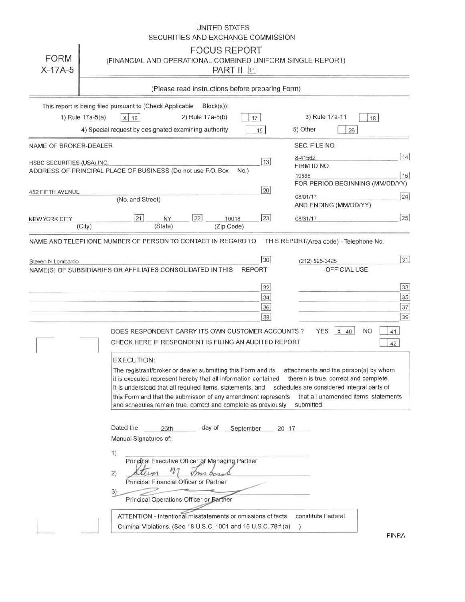|                            | UNITED STATES<br>SECURITIES AND EXCHANGE COMMISSION                                                                                                                                                                                                                                                                                                                                                                                                                                                                                      |
|----------------------------|------------------------------------------------------------------------------------------------------------------------------------------------------------------------------------------------------------------------------------------------------------------------------------------------------------------------------------------------------------------------------------------------------------------------------------------------------------------------------------------------------------------------------------------|
| <b>FORM</b><br>$X-17A-5$   | <b>FOCUS REPORT</b><br>(FINANCIAL AND OPERATIONAL COMBINED UNIFORM SINGLE REPORT)<br><b>PART II</b> 11                                                                                                                                                                                                                                                                                                                                                                                                                                   |
|                            | (Please read instructions before preparing Form)                                                                                                                                                                                                                                                                                                                                                                                                                                                                                         |
|                            | This report is being filed pursuant to (Check Applicable<br>$Block(s)$ :                                                                                                                                                                                                                                                                                                                                                                                                                                                                 |
| 1) Rule 17a-5(a)           | 3) Rule 17a-11<br>$X$ 16<br>2) Rule 17a-5(b)<br>17<br>18                                                                                                                                                                                                                                                                                                                                                                                                                                                                                 |
|                            | 4) Special request by designated examining authority<br>5) Other<br>19<br>26                                                                                                                                                                                                                                                                                                                                                                                                                                                             |
| NAME OF BROKER-DEALER      | SEC. FILE NO.                                                                                                                                                                                                                                                                                                                                                                                                                                                                                                                            |
| HSBC SECURITIES (USA) INC. | 14 <br>8-41562<br>13                                                                                                                                                                                                                                                                                                                                                                                                                                                                                                                     |
|                            | FIRM ID NO.<br>ADDRESS OF PRINCIPAL PLACE OF BUSINESS (Do not use P.O. Box<br>$No.$ )                                                                                                                                                                                                                                                                                                                                                                                                                                                    |
|                            | 15<br>19585<br>FOR PERIOD BEGINNING (MM/DD/YY)                                                                                                                                                                                                                                                                                                                                                                                                                                                                                           |
| 452 FIFTH AVENUE           | 20<br>24<br>08/01/17                                                                                                                                                                                                                                                                                                                                                                                                                                                                                                                     |
|                            | (No. and Street)<br>AND ENDING (MM/DD/YY)                                                                                                                                                                                                                                                                                                                                                                                                                                                                                                |
| NEW YORK CITY              | 22 <br>23<br>25<br>21<br>NY<br>10018<br>08/31/17                                                                                                                                                                                                                                                                                                                                                                                                                                                                                         |
|                            | (State)<br>(City)<br>(Zip Code)                                                                                                                                                                                                                                                                                                                                                                                                                                                                                                          |
|                            | 37<br>36<br>38<br>39<br><b>YES</b><br><b>NO</b><br>DOES RESPONDENT CARRY ITS OWN CUSTOMER ACCOUNTS?<br>$X$ 40<br>41<br>CHECK HERE IF RESPONDENT IS FILING AN AUDITED REPORT<br>42                                                                                                                                                                                                                                                                                                                                                        |
|                            | <b>EXECUTION:</b><br>attachments and the person(s) by whom<br>The registrant/broker or dealer submitting this Form and its<br>therein is true, correct and complete.<br>it is executed represent hereby that all information contained<br>schedules are considered integral parts of<br>It is understood that all required items, statements, and<br>this Form and that the submisson of any amendment represents<br>that all unamended items, statements<br>submitted.<br>and schedules remain true, correct and complete as previously |
|                            | Dated the<br>day of<br>26th<br>September<br>20 17<br>Manual Signatures of:<br>1)<br>Pringipal Executive Officer of Managing Partner<br>2)<br>Principal Financial Officer or Partner<br>3)<br>Principal Operations Officer or Partner                                                                                                                                                                                                                                                                                                     |
|                            | constitute Federal<br>ATTENTION - Intentional misstatements or omissions of facts<br>Criminal Violations. (See 18 U.S.C. 1001 and 15 U.S.C. 78:f (a)<br>$\left( \right)$                                                                                                                                                                                                                                                                                                                                                                 |
|                            | <b>FINRA</b>                                                                                                                                                                                                                                                                                                                                                                                                                                                                                                                             |

FINRA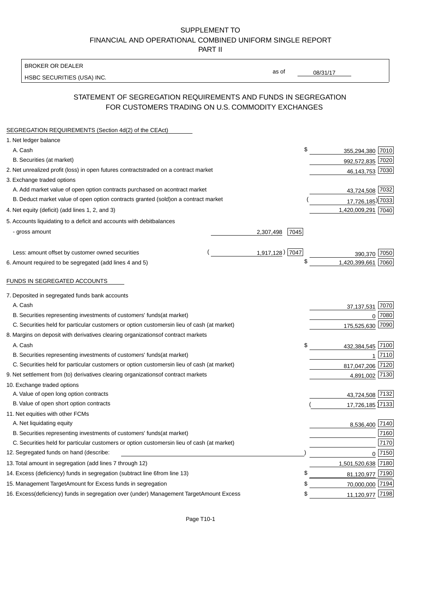BROKER OR DEALER

HSBC SECURITIES (USA) INC.

08/31/17

as of

## STATEMENT OF SEGREGATION REQUIREMENTS AND FUNDS IN SEGREGATION FOR CUSTOMERS TRADING ON U.S. COMMODITY EXCHANGES

| SEGREGATION REQUIREMENTS (Section 4d(2) of the CEAct)                                          |                   |                    |          |
|------------------------------------------------------------------------------------------------|-------------------|--------------------|----------|
| 1. Net ledger balance                                                                          |                   |                    |          |
| A. Cash                                                                                        | \$                | 355,294,380 7010   |          |
| B. Securities (at market)                                                                      |                   | 992,572,835 7020   |          |
| 2. Net unrealized profit (loss) in open futures contracts<br>traded on a contract market       |                   | 46, 143, 753 7030  |          |
| 3. Exchange traded options                                                                     |                   |                    |          |
| A. Add market value of open option contracts purchased on a<br>contract market                 |                   | 43,724,508 7032    |          |
| B. Deduct market value of open option contracts granted (sold)<br>on a contract market         |                   | 17,726,185) 7033   |          |
| 4. Net equity (deficit) (add lines 1, 2, and 3)                                                |                   | 1,420,009,291 7040 |          |
| 5. Accounts liquidating to a deficit and accounts with debit<br>balances                       |                   |                    |          |
| - gross amount                                                                                 | 7045<br>2,307,498 |                    |          |
|                                                                                                |                   |                    |          |
| Less: amount offset by customer owned securities                                               | 1,917,128) 7047   | 390,370            | 7050     |
| 6. Amount required to be segregated (add lines 4 and 5)                                        | \$                | 1,420,399,661 7060 |          |
|                                                                                                |                   |                    |          |
| FUNDS IN SEGREGATED ACCOUNTS                                                                   |                   |                    |          |
| 7. Deposited in segregated funds bank accounts                                                 |                   |                    |          |
| A. Cash                                                                                        |                   | 37, 137, 531       | 7070     |
| B. Securities representing investments of customers' funds<br>(at market)                      |                   | $\Omega$           | 7080     |
| C. Securities held for particular customers or option customers<br>in lieu of cash (at market) |                   | 175,525,630 7090   |          |
| 8. Margins on deposit with derivatives clearing organizations<br>of contract markets           |                   |                    |          |
| A. Cash                                                                                        | \$                | 432,384,545 7100   |          |
| B. Securities representing investments of customers' funds<br>(at market)                      |                   |                    | 7110     |
| C. Securities held for particular customers or option customers<br>in lieu of cash (at market) |                   | 817,047,206 7120   |          |
| 9. Net settlement from (to) derivatives clearing organizations<br>of contract markets          |                   | 4,891,002 7130     |          |
| 10. Exchange traded options                                                                    |                   |                    |          |
| A. Value of open long option contracts                                                         |                   | 43,724,508 7132    |          |
| B. Value of open short option contracts                                                        |                   | 17,726,185 7133    |          |
| 11. Net equities with other FCMs                                                               |                   |                    |          |
| A. Net liquidating equity                                                                      |                   | 8,536,400 7140     |          |
| B. Securities representing investments of customers' funds<br>(at market)                      |                   |                    | 7160     |
| C. Securities held for particular customers or option customers<br>in lieu of cash (at market) |                   |                    | 7170     |
| 12. Segregated funds on hand (describe:                                                        |                   |                    | $0$ 7150 |
| 13. Total amount in segregation (add lines 7 through 12)                                       |                   | 1,501,520,638 7180 |          |
| 14. Excess (deficiency) funds in segregation (subtract line 6 from line 13)                    | £                 | 81,120,977 7190    |          |
| 15. Management Target Amount for Excess funds in segregation                                   | \$                | 70,000,000 7194    |          |
| 16. Excess (deficiency) funds in segregation over (under) Management Target Amount Excess      | \$                | 11,120,977 7198    |          |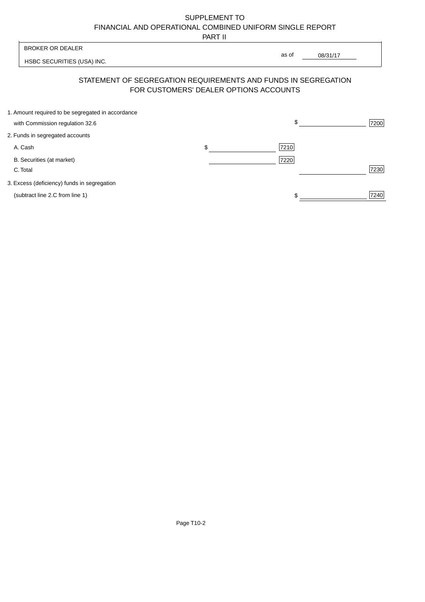PART II

| <b>BROKER OR DEALER</b>                           |                                                                                                          | as of    |      |  |
|---------------------------------------------------|----------------------------------------------------------------------------------------------------------|----------|------|--|
| HSBC SECURITIES (USA) INC.                        |                                                                                                          | 08/31/17 |      |  |
|                                                   | STATEMENT OF SEGREGATION REQUIREMENTS AND FUNDS IN SEGREGATION<br>FOR CUSTOMERS' DEALER OPTIONS ACCOUNTS |          |      |  |
| 1. Amount required to be segregated in accordance |                                                                                                          |          |      |  |
| with Commission regulation 32.6                   |                                                                                                          | \$       | 7200 |  |
| 2. Funds in segregated accounts                   |                                                                                                          |          |      |  |
| A. Cash                                           | \$                                                                                                       | 7210     |      |  |
| B. Securities (at market)<br>C. Total             |                                                                                                          | 7220     | 7230 |  |
| 3. Excess (deficiency) funds in segregation       |                                                                                                          |          |      |  |
| (subtract line 2.C from line 1)                   |                                                                                                          | \$       | 7240 |  |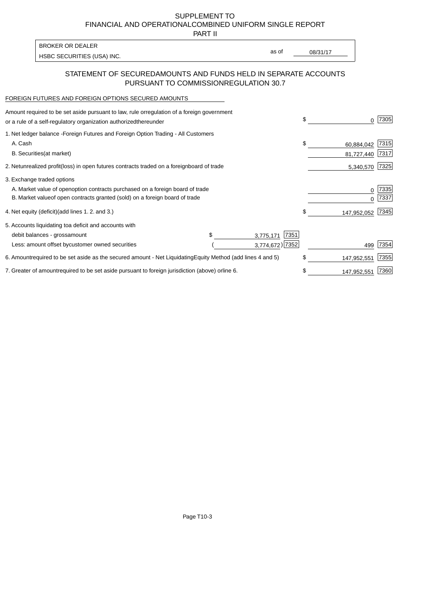PART II

HSBC SECURITIES (USA) INC. The second of the second of the second of the second of the second of the second of the second of the second of the second of the second of the second of the second of the second of the second of

as of

### STATEMENT OF SECURED AMOUNTS AND FUNDS HELD IN SEPARATE ACCOUNTS PURSUANT TO COMMISSION REGULATION 30.7

#### FOREIGN FUTURES AND FOREIGN OPTIONS SECURED AMOUNTS

BROKER OR DEALER

| Amount required to be set aside pursuant to law, rule or<br>regulation of a foreign government<br>or a rule of a self-regulatory organization authorized<br>thereunder                       | \$                             | 7305         |
|----------------------------------------------------------------------------------------------------------------------------------------------------------------------------------------------|--------------------------------|--------------|
| 1. Net ledger balance - Foreign Futures and Foreign Option Trading - All Customers<br>A. Cash<br><b>B.</b> Securities<br>(at market)                                                         | \$<br>60,884,042<br>81,727,440 | 7315<br>7317 |
| unrealized profit (loss) in open futures contracts traded on a foreign board of trade<br>2. Net                                                                                              | 5,340,570                      | 7325         |
| 3. Exchange traded options<br>A. Market value of open option contracts purchased on a foreign board of trade<br>B. Market value of open contracts granted (sold) on a foreign board of trade | $\Omega$                       | 7335<br>7337 |
| 4. Net equity (deficit)<br>(add lines 1.2. and 3.)                                                                                                                                           | \$<br>147,952,052              | 7345         |
| 5. Accounts liquidating to<br>a deficit and accounts with<br>7351<br>debit balances - gross<br>amount<br>3,775,171<br>3,774,672) 7352<br>Less: amount offset by<br>customer owned securities | 499                            | 7354         |
| required to be set aside as the secured amount - Net Liquidating<br>Equity Method (add lines 4 and 5)<br>6. Amount                                                                           | \$<br>147,952,551              | 7355         |
| 7. Greater of amount required to be set aside pursuant to foreign jurisdiction (above) or line 6.                                                                                            | 147,952,551                    | 7360         |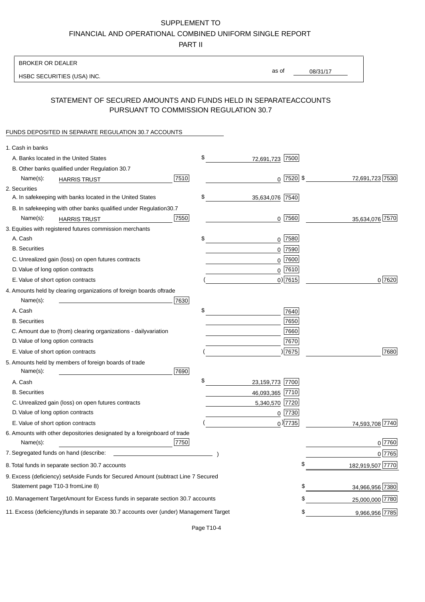PART II

| <b>BROKER OR DEALER</b>                                                                           |                       |                 |                 |                  |
|---------------------------------------------------------------------------------------------------|-----------------------|-----------------|-----------------|------------------|
| HSBC SECURITIES (USA) INC.                                                                        | as of                 |                 | 08/31/17        |                  |
|                                                                                                   |                       |                 |                 |                  |
| STATEMENT OF SECURED AMOUNTS AND FUNDS HELD IN SEPARATE<br>PURSUANT TO COMMISSION REGULATION 30.7 |                       |                 | <b>ACCOUNTS</b> |                  |
| FUNDS DEPOSITED IN SEPARATE REGULATION 30.7 ACCOUNTS                                              |                       |                 |                 |                  |
| 1. Cash in banks                                                                                  |                       |                 |                 |                  |
| A. Banks located in the United States                                                             | \$<br>72,691,723 7500 |                 |                 |                  |
| B. Other banks qualified under Regulation 30.7                                                    |                       |                 |                 |                  |
| 7510<br>Name(s):<br><b>HARRIS TRUST</b>                                                           |                       | $0$   7520   \$ |                 | 72,691,723 7530  |
| 2. Securities                                                                                     |                       |                 |                 |                  |
| A. In safekeeping with banks located in the United States                                         | \$<br>35,634,076 7540 |                 |                 |                  |
| B. In safekeeping with other banks qualified under Regulation<br>30.7                             |                       |                 |                 |                  |
| 7550<br>Name(s):<br><b>HARRIS TRUST</b>                                                           | $0$ 7560              |                 |                 | 35,634,076 7570  |
| 3. Equities with registered futures commission merchants                                          |                       |                 |                 |                  |
| A. Cash                                                                                           | \$<br>$0$ 7580        |                 |                 |                  |
| <b>B.</b> Securities                                                                              | $0$ 7590              |                 |                 |                  |
| C. Unrealized gain (loss) on open futures contracts                                               | $0$ 7600              |                 |                 |                  |
| D. Value of long option contracts                                                                 | $0$ 7610              |                 |                 |                  |
| E. Value of short option contracts                                                                | $0$ ) 7615            |                 |                 | 0 7620           |
| 4. Amounts held by clearing organizations of foreign boards of<br>trade                           |                       |                 |                 |                  |
| Name(s):<br>7630                                                                                  |                       |                 |                 |                  |
| A. Cash                                                                                           | \$                    | 7640            |                 |                  |
| <b>B.</b> Securities                                                                              |                       | 7650            |                 |                  |
| C. Amount due to (from) clearing organizations - daily<br>variation                               |                       | 7660            |                 |                  |
| D. Value of long option contracts                                                                 |                       | 7670            |                 |                  |
| E. Value of short option contracts                                                                |                       | )7675           |                 | 7680             |
| 5. Amounts held by members of foreign boards of trade<br>Name(s):<br>7690                         |                       |                 |                 |                  |
| A. Cash                                                                                           | \$<br>23,159,773 7700 |                 |                 |                  |
| <b>B.</b> Securities                                                                              | 46,093,365 7710       |                 |                 |                  |
| C. Unrealized gain (loss) on open futures contracts                                               | 5,340,570 7720        |                 |                 |                  |
| D. Value of long option contracts                                                                 | $0$  7730             |                 |                 |                  |
| E. Value of short option contracts                                                                | $_0$ ) 7735           |                 |                 | 74,593,708 7740  |
| 6. Amounts with other depositories designated by a foreign<br>board of trade<br>7750<br>Name(s):  |                       |                 |                 | 0 7760           |
| 7. Segregated funds on hand (describe:                                                            |                       |                 |                 | 0 7765           |
| 8. Total funds in separate section 30.7 accounts                                                  |                       | \$              |                 | 182,919,507 7770 |
| 9. Excess (deficiency) set Aside Funds for Secured Amount (subtract Line 7 Secured                |                       |                 |                 |                  |
| Statement page T10-3 from Line 8)                                                                 |                       | \$              |                 | 34,966,956 7380  |
| 10. Management Target Amount for Excess funds in separate section 30.7 accounts                   |                       | \$              |                 | 25,000,000 7780  |
|                                                                                                   |                       |                 |                 |                  |
| 11. Excess (deficiency) funds in separate 30.7 accounts over (under) Management Target            |                       | \$              |                 | 9,966,956 7785   |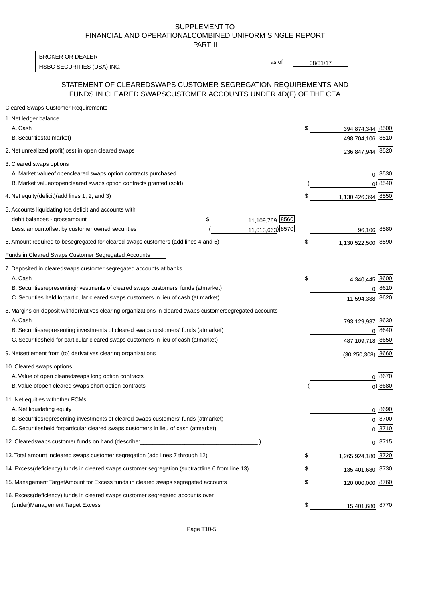PART II

HSBC SECURITIES (USA) INC. The state of the second second second second second second second second second second second second second second second second second second second second second second second second second sec BROKER OR DEALER

as of

#### STATEMENT OF CLEARED SWAPS CUSTOMER SEGREGATION REQUIREMENTS AND FUNDS IN CLEARED SWAPS CUSTOMER ACCOUNTS UNDER 4D(F) OF THE CEA

| <b>Cleared Swaps Customer Requirements</b>                                                                  |                          |
|-------------------------------------------------------------------------------------------------------------|--------------------------|
| 1. Net ledger balance                                                                                       |                          |
| A. Cash                                                                                                     | \$<br>394,874,344 8500   |
| B. Securities (at market)                                                                                   | 498,704,106 8510         |
| 2. Net unrealized profit (loss) in open cleared swaps                                                       | 236,847,944 8520         |
| 3. Cleared swaps options                                                                                    |                          |
| A. Market value of open cleared swaps option contracts purchased                                            | $0^{8530}$               |
| B. Market value of open cleared swaps option contracts granted (sold)                                       | $0)$ 8540                |
| 4. Net equity (deficit) (add lines 1, 2, and 3)                                                             | \$<br>1,130,426,394 8550 |
| 5. Accounts liquidating to a deficit and accounts with                                                      |                          |
| 11,109,769 8560<br>debit balances - gross<br>\$<br>amount                                                   |                          |
| 11,013,663) 8570<br>Less: amount offset by customer owned securities                                        | 96,106 8580              |
| 6. Amount required to be segregated for cleared swaps customers (add lines 4 and 5)                         | \$<br>1,130,522,500 8590 |
| <b>Funds in Cleared Swaps Customer Segregated Accounts</b>                                                  |                          |
| 7. Deposited in cleared swaps customer segregated accounts at banks                                         |                          |
| A. Cash                                                                                                     | \$<br>8600<br>4,340,445  |
| B. Securities representing investments of cleared swaps customers' funds (at market)                        | 8610<br>$\Omega$         |
| C. Securities held for particular cleared swaps customers in lieu of cash (at market)                       | 8620<br>11,594,388       |
| 8. Margins on deposit with derivatives clearing organizations in cleared swaps customer segregated accounts |                          |
| A. Cash                                                                                                     | 793,129,937 8630         |
| representing investments of cleared swaps customers' funds (at market)<br><b>B.</b> Securities              | 8640<br>$\Omega$         |
| held for particular cleared swaps customers in lieu of cash (at market)<br>C. Securities                    | 8650<br>487,109,718      |
| 9. Net settlement from (to) derivatives clearing organizations                                              | $(30, 250, 308)$ 8660    |
| 10. Cleared swaps options                                                                                   |                          |
| A. Value of open cleared swaps long option contracts                                                        | $0^{8670}$               |
| B. Value of open cleared swaps short option contracts                                                       | $0$ ) 8680               |
| 11. Net equities with other FCMs                                                                            |                          |
| A. Net liquidating equity                                                                                   | $0^{8690}$               |
| B. Securities representing investments of cleared swaps customers' funds (at market)                        | $0^{8700}$               |
| C. Securities held for particular cleared swaps customers in lieu of cash (at market)                       | 0 8710                   |
| 12. Cleared swaps customer funds on hand (describe:                                                         | $0 \;  8715 $            |
| 13. Total amount in cleared swaps customer segregation (add lines 7 through 12)                             | \$<br>1,265,924,180 8720 |
| 14. Excess (deficiency) funds in cleared swaps customer segregation (subtract line 6 from line 13)          | 135,401,680 8730         |
| 15. Management Target Amount for Excess funds in cleared swaps segregated accounts                          | \$<br>120,000,000 8760   |
| 16. Excess<br>(deficiency) funds in cleared swaps customer segregated accounts over                         |                          |
| <b>Management Target Excess</b><br>(under)                                                                  | \$<br>15,401,680 8770    |